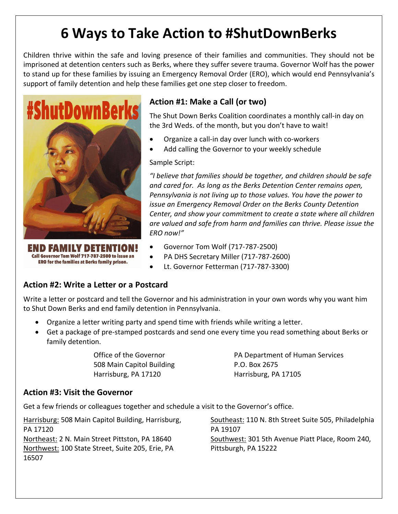# **6 Ways to Take Action to #ShutDownBerks**

Children thrive within the safe and loving presence of their families and communities. They should not be imprisoned at detention centers such as Berks, where they suffer severe trauma. Governor Wolf has the power to stand up for these families by issuing an Emergency Removal Order (ERO), which would end Pennsylvania's support of family detention and help these families get one step closer to freedom.



Call Governor Tom Wolf 717-787-2500 to issue an ERO for the families at Berks family prison.

### **Action #1: Make a Call (or two)**

The Shut Down Berks Coalition coordinates a monthly call-in day on the 3rd Weds. of the month, but you don't have to wait!

- Organize a call-in day over lunch with co-workers
- Add calling the Governor to your weekly schedule

Sample Script:

*"I believe that families should be together, and children should be safe and cared for. As long as the Berks Detention Center remains open, Pennsylvania is not living up to those values. You have the power to issue an Emergency Removal Order on the Berks County Detention Center, and show your commitment to create a state where all children are valued and safe from harm and families can thrive. Please issue the ERO now!"*

- Governor Tom Wolf (717-787-2500)
- PA DHS Secretary Miller (717-787-2600)
- Lt. Governor Fetterman (717-787-3300)

#### **Action #2: Write a Letter or a Postcard**

Write a letter or postcard and tell the Governor and his administration in your own words why you want him to Shut Down Berks and end family detention in Pennsylvania.

- Organize a letter writing party and spend time with friends while writing a letter.
- Get a package of pre-stamped postcards and send one every time you read something about Berks or family detention.

508 Main Capitol Building The R.O. Box 2675 Harrisburg, PA 17120 Harrisburg, PA 17105

Office of the Governor **PA Department of Human Services** 

#### **Action #3: Visit the Governor**

Get a few friends or colleagues together and schedule a visit to the Governor's office.

Harrisburg: 508 Main Capitol Building, Harrisburg, PA 17120 Northeast: 2 N. Main Street Pittston, PA 18640 Northwest: 100 State Street, Suite 205, Erie, PA 16507

Southeast: 110 N. 8th Street Suite 505, Philadelphia PA 19107 Southwest: 301 5th Avenue Piatt Place, Room 240, Pittsburgh, PA 15222